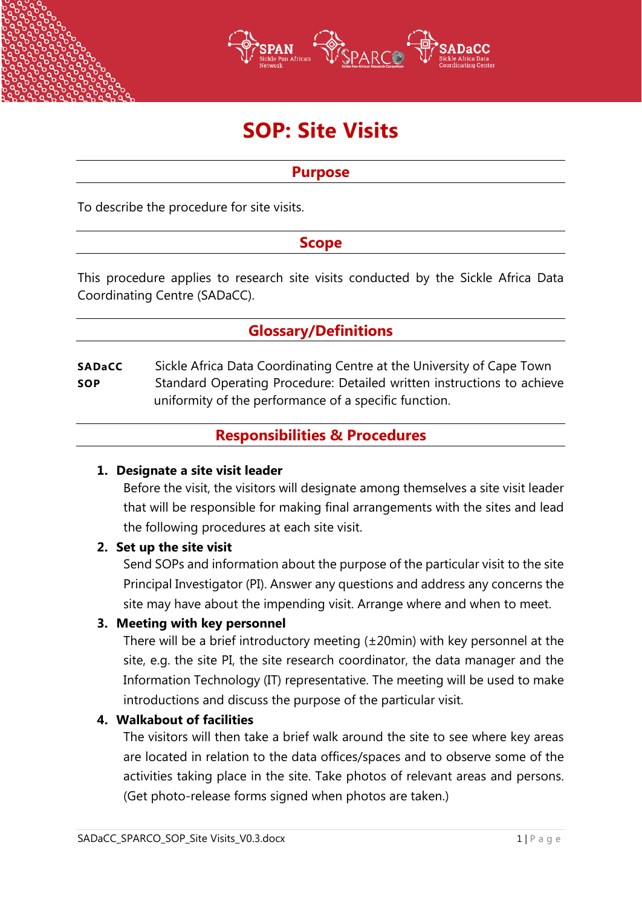

# **SOP: Site Visits**

# **Purpose**

To describe the procedure for site visits.

# **Scope**

This procedure applies to research site visits conducted by the Sickle Africa Data Coordinating Centre (SADaCC).

# **Glossary/Definitions**

**SADaCC** Sickle Africa Data Coordinating Centre at the University of Cape Town **SOP** Standard Operating Procedure: Detailed written instructions to achieve uniformity of the performance of a specific function.

# **Responsibilities & Procedures**

#### **1. Designate a site visit leader**

Before the visit, the visitors will designate among themselves a site visit leader that will be responsible for making final arrangements with the sites and lead the following procedures at each site visit.

#### **2. Set up the site visit**

Send SOPs and information about the purpose of the particular visit to the site Principal Investigator (PI). Answer any questions and address any concerns the site may have about the impending visit. Arrange where and when to meet.

#### **3. Meeting with key personnel**

There will be a brief introductory meeting (±20min) with key personnel at the site, e.g. the site PI, the site research coordinator, the data manager and the Information Technology (IT) representative. The meeting will be used to make introductions and discuss the purpose of the particular visit.

# **4. Walkabout of facilities**

The visitors will then take a brief walk around the site to see where key areas are located in relation to the data offices/spaces and to observe some of the activities taking place in the site. Take photos of relevant areas and persons. (Get photo-release forms signed when photos are taken.)